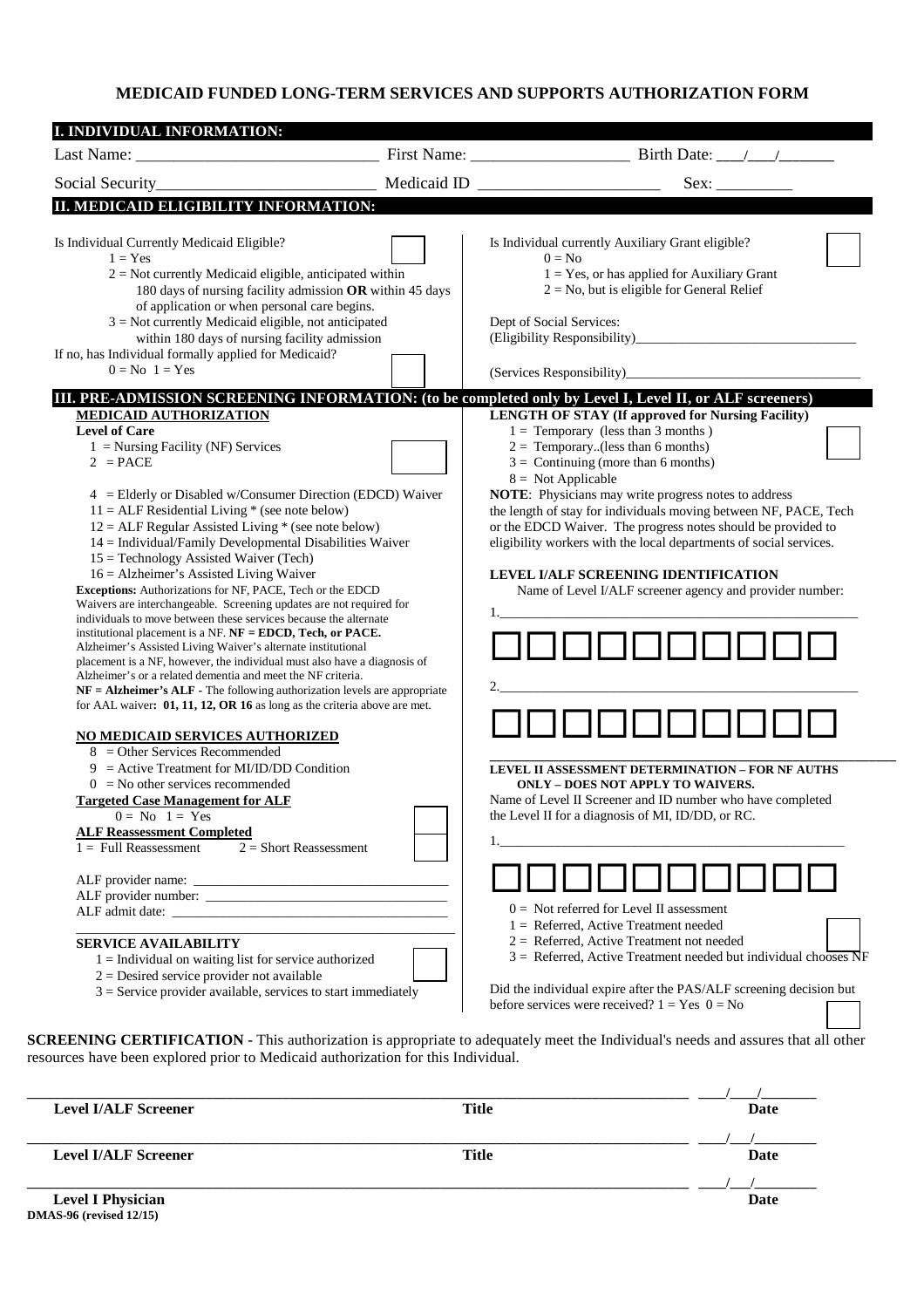## **MEDICAID FUNDED LONG-TERM SERVICES AND SUPPORTS AUTHORIZATION FORM**

| Social Security_                                                                                                                                                                                                                                                                                                                                                                                                                                                                                                                                                                                                                                                                                                                                                                                                                                                                                                                                                                                                                                                                                                                                                                                                                        | Medicaid ID | Sex:                                                                                                                                                                                                                                                                                                                                                                                                                                                                                                                                                                           |
|-----------------------------------------------------------------------------------------------------------------------------------------------------------------------------------------------------------------------------------------------------------------------------------------------------------------------------------------------------------------------------------------------------------------------------------------------------------------------------------------------------------------------------------------------------------------------------------------------------------------------------------------------------------------------------------------------------------------------------------------------------------------------------------------------------------------------------------------------------------------------------------------------------------------------------------------------------------------------------------------------------------------------------------------------------------------------------------------------------------------------------------------------------------------------------------------------------------------------------------------|-------------|--------------------------------------------------------------------------------------------------------------------------------------------------------------------------------------------------------------------------------------------------------------------------------------------------------------------------------------------------------------------------------------------------------------------------------------------------------------------------------------------------------------------------------------------------------------------------------|
| II. MEDICAID ELIGIBILITY INFORMATION:                                                                                                                                                                                                                                                                                                                                                                                                                                                                                                                                                                                                                                                                                                                                                                                                                                                                                                                                                                                                                                                                                                                                                                                                   |             |                                                                                                                                                                                                                                                                                                                                                                                                                                                                                                                                                                                |
| Is Individual Currently Medicaid Eligible?<br>$1 = Yes$<br>$2$ = Not currently Medicaid eligible, anticipated within<br>180 days of nursing facility admission OR within 45 days<br>of application or when personal care begins.<br>$3$ = Not currently Medicaid eligible, not anticipated<br>within 180 days of nursing facility admission<br>If no, has Individual formally applied for Medicaid?<br>$0 = No$ $1 = Yes$                                                                                                                                                                                                                                                                                                                                                                                                                                                                                                                                                                                                                                                                                                                                                                                                               |             | Is Individual currently Auxiliary Grant eligible?<br>$0 = No$<br>$1 = Yes$ , or has applied for Auxiliary Grant<br>$2 = No$ , but is eligible for General Relief<br>Dept of Social Services:<br>(Services Responsibility)_____                                                                                                                                                                                                                                                                                                                                                 |
| III. PRE-ADMISSION SCREENING INFORMATION: (to be completed only by Level I, Level II, or ALF screeners)<br><b>MEDICAID AUTHORIZATION</b><br><b>Level of Care</b><br>$1 =$ Nursing Facility (NF) Services<br>$2 = PACE$<br>4 = Elderly or Disabled w/Consumer Direction (EDCD) Waiver<br>$11 = ALF Residental Living * (see note below)$<br>$12 = ALF$ Regular Assisted Living * (see note below)<br>14 = Individual/Family Developmental Disabilities Waiver<br>$15 = Technology$ Assisted Waiver (Tech)<br>$16 =$ Alzheimer's Assisted Living Waiver<br>Exceptions: Authorizations for NF, PACE, Tech or the EDCD<br>Waivers are interchangeable. Screening updates are not required for<br>individuals to move between these services because the alternate<br>institutional placement is a NF. NF = EDCD, Tech, or PACE.<br>Alzheimer's Assisted Living Waiver's alternate institutional<br>placement is a NF, however, the individual must also have a diagnosis of<br>Alzheimer's or a related dementia and meet the NF criteria.<br>$NF = Alzheimer's ALF - The following authorization levels are appropriate$<br>for AAL waiver: $01$ , 11, 12, OR 16 as long as the criteria above are met.<br>NO MEDICAID SERVICES AUTHORIZED |             | <b>LENGTH OF STAY (If approved for Nursing Facility)</b><br>$1 =$ Temporary (less than 3 months)<br>$2 =$ Temporary(less than 6 months)<br>$3 =$ Continuing (more than 6 months)<br>$8 =$ Not Applicable<br>NOTE: Physicians may write progress notes to address<br>the length of stay for individuals moving between NF, PACE, Tech<br>or the EDCD Waiver. The progress notes should be provided to<br>eligibility workers with the local departments of social services.<br>LEVEL I/ALF SCREENING IDENTIFICATION<br>Name of Level I/ALF screener agency and provider number: |
| $8 =$ Other Services Recommended<br>$9 =$ Active Treatment for MI/ID/DD Condition<br>$0 =$ No other services recommended<br><b>Targeted Case Management for ALF</b><br>$0 = No$ $1 = Yes$<br><b>ALF Reassessment Completed</b><br>$1 =$ Full Reassessment<br>$2 =$ Short Reassessment<br><b>SERVICE AVAILABILITY</b><br>$1 =$ Individual on waiting list for service authorized<br>$2 =$ Desired service provider not available<br>$3$ = Service provider available, services to start immediately                                                                                                                                                                                                                                                                                                                                                                                                                                                                                                                                                                                                                                                                                                                                      |             | LEVEL II ASSESSMENT DETERMINATION - FOR NF AUTHS<br><b>ONLY - DOES NOT APPLY TO WAIVERS.</b><br>Name of Level II Screener and ID number who have completed<br>the Level II for a diagnosis of MI, ID/DD, or RC.<br>$0 =$ Not referred for Level II assessment<br>$1 =$ Referred, Active Treatment needed<br>$2 =$ Referred, Active Treatment not needed<br>$3$ = Referred, Active Treatment needed but individual chooses NF<br>Did the individual expire after the PAS/ALF screening decision but<br>before services were received? $1 = Yes$ $0 = No$                        |

resources have been explored prior to Medicaid authorization for this Individual.

| <b>Level I/ALF Screener</b>    | <b>Title</b> | Date |
|--------------------------------|--------------|------|
|                                |              |      |
| <b>Level I/ALF Screener</b>    | <b>Title</b> | Date |
|                                |              |      |
| <b>Level I Physician</b>       |              | Date |
| <b>DMAS-96</b> (revised 12/15) |              |      |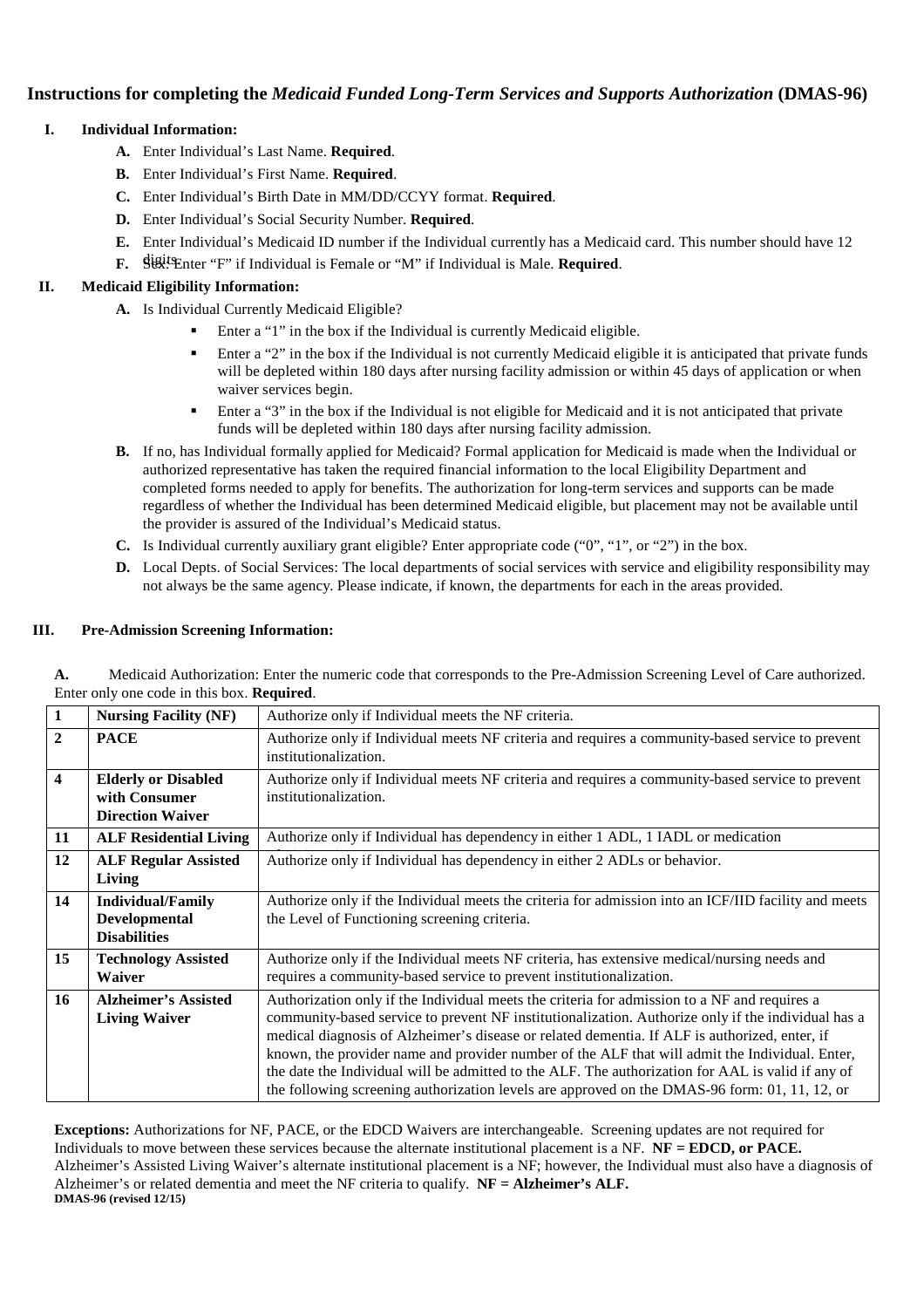# **Instructions for completing the** *Medicaid Funded Long-Term Services and Supports Authorization* **(DMAS-96)**

## **I. Individual Information:**

- **A.** Enter Individual's Last Name. **Required**.
- **B.** Enter Individual's First Name. **Required**.
- **C.** Enter Individual's Birth Date in MM/DD/CCYY format. **Required**.
- **D.** Enter Individual's Social Security Number. **Required**.
- **E.** Enter Individual's Medicaid ID number if the Individual currently has a Medicaid card. This number should have 12
- digits. **F.** Sex: Enter "F" if Individual is Female or "M" if Individual is Male. **Required**.

## **II. Medicaid Eligibility Information:**

- **A.** Is Individual Currently Medicaid Eligible?
	- -Enter a "1" in the box if the Individual is currently Medicaid eligible.
	- - Enter a "2" in the box if the Individual is not currently Medicaid eligible it is anticipated that private funds will be depleted within 180 days after nursing facility admission or within 45 days of application or when waiver services begin.
	- - Enter a "3" in the box if the Individual is not eligible for Medicaid and it is not anticipated that private funds will be depleted within 180 days after nursing facility admission.
- **B.** If no, has Individual formally applied for Medicaid? Formal application for Medicaid is made when the Individual or authorized representative has taken the required financial information to the local Eligibility Department and completed forms needed to apply for benefits. The authorization for long-term services and supports can be made regardless of whether the Individual has been determined Medicaid eligible, but placement may not be available until the provider is assured of the Individual's Medicaid status.
- **C.** Is Individual currently auxiliary grant eligible? Enter appropriate code ("0", "1", or "2") in the box.
- **D.** Local Depts. of Social Services: The local departments of social services with service and eligibility responsibility may not always be the same agency. Please indicate, if known, the departments for each in the areas provided.

#### **III. Pre-Admission Screening Information:**

|                                                   | Medicaid Authorization: Enter the numeric code that corresponds to the Pre-Admission Screening Level of Care authorized. |  |  |
|---------------------------------------------------|--------------------------------------------------------------------------------------------------------------------------|--|--|
| Enter only one code in this box. <b>Required.</b> |                                                                                                                          |  |  |

| 1            | <b>Nursing Facility (NF)</b>                                           | Authorize only if Individual meets the NF criteria.                                                                                                                                                                                                                                                                                                                                                                                                                                                                                                                                                         |
|--------------|------------------------------------------------------------------------|-------------------------------------------------------------------------------------------------------------------------------------------------------------------------------------------------------------------------------------------------------------------------------------------------------------------------------------------------------------------------------------------------------------------------------------------------------------------------------------------------------------------------------------------------------------------------------------------------------------|
| $\mathbf{2}$ | <b>PACE</b>                                                            | Authorize only if Individual meets NF criteria and requires a community-based service to prevent<br>institutionalization.                                                                                                                                                                                                                                                                                                                                                                                                                                                                                   |
| 4            | <b>Elderly or Disabled</b><br>with Consumer<br><b>Direction Waiver</b> | Authorize only if Individual meets NF criteria and requires a community-based service to prevent<br>institutionalization.                                                                                                                                                                                                                                                                                                                                                                                                                                                                                   |
| 11           | <b>ALF Residential Living</b>                                          | Authorize only if Individual has dependency in either 1 ADL, 1 IADL or medication                                                                                                                                                                                                                                                                                                                                                                                                                                                                                                                           |
| 12           | <b>ALF Regular Assisted</b><br>Living                                  | Authorize only if Individual has dependency in either 2 ADLs or behavior.                                                                                                                                                                                                                                                                                                                                                                                                                                                                                                                                   |
| 14           | <b>Individual/Family</b><br>Developmental<br><b>Disabilities</b>       | Authorize only if the Individual meets the criteria for admission into an ICF/IID facility and meets<br>the Level of Functioning screening criteria.                                                                                                                                                                                                                                                                                                                                                                                                                                                        |
| 15           | <b>Technology Assisted</b><br><b>Waiver</b>                            | Authorize only if the Individual meets NF criteria, has extensive medical/nursing needs and<br>requires a community-based service to prevent institutionalization.                                                                                                                                                                                                                                                                                                                                                                                                                                          |
| 16           | <b>Alzheimer's Assisted</b><br><b>Living Waiver</b>                    | Authorization only if the Individual meets the criteria for admission to a NF and requires a<br>community-based service to prevent NF institutionalization. Authorize only if the individual has a<br>medical diagnosis of Alzheimer's disease or related dementia. If ALF is authorized, enter, if<br>known, the provider name and provider number of the ALF that will admit the Individual. Enter,<br>the date the Individual will be admitted to the ALF. The authorization for AAL is valid if any of<br>the following screening authorization levels are approved on the DMAS-96 form: 01, 11, 12, or |

**Exceptions:** Authorizations for NF, PACE, or the EDCD Waivers are interchangeable. Screening updates are not required for Individuals to move between these services because the alternate institutional placement is a NF. **NF = EDCD, or PACE.**  Alzheimer's Assisted Living Waiver's alternate institutional placement is a NF; however, the Individual must also have a diagnosis of Alzheimer's or related dementia and meet the NF criteria to qualify. **NF = Alzheimer's ALF. DMAS-96 (revised 12/15)**